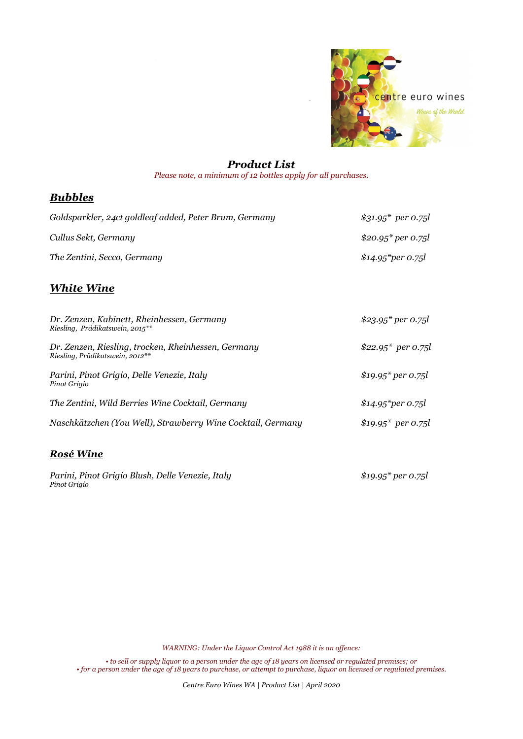

## Product List

Please note, a minimum of 12 bottles apply for all purchases.

## Bubbles

| Goldsparkler, 24ct goldleaf added, Peter Brum, Germany | $$31.95^*$ per 0.75l            |
|--------------------------------------------------------|---------------------------------|
| Cullus Sekt, Germany                                   | \$20.95* per 0.75l              |
| The Zentini, Secco, Germany                            | $$14.95$ <sup>*</sup> per 0.75l |

## White Wine

| Dr. Zenzen, Kabinett, Rheinhessen, Germany<br>Riesling, Prädikatswein, 2015**          | \$23.95* per 0.75l              |
|----------------------------------------------------------------------------------------|---------------------------------|
| Dr. Zenzen, Riesling, trocken, Rheinhessen, Germany<br>Riesling, Prädikatswein, 2012** | \$22.95* per 0.75l              |
| Parini, Pinot Grigio, Delle Venezie, Italy<br>Pinot Grigio                             | $$19.95^*$ per 0.75l            |
| The Zentini, Wild Berries Wine Cocktail, Germany                                       | $$14.95$ <sup>*</sup> per 0.75l |
| Naschkätzchen (You Well), Strawberry Wine Cocktail, Germany                            | \$19.95* per 0.75l              |
| Rosé Wine                                                                              |                                 |

Parini, Pinot Grigio Blush, Delle Venezie, Italy \$19.95\* per 0.75l Pinot Grigio

WARNING: Under the Liquor Control Act 1988 it is an offence:

• to sell or supply liquor to a person under the age of 18 years on licensed or regulated premises; or • for a person under the age of 18 years to purchase, or attempt to purchase, liquor on licensed or regulated premises.

Centre Euro Wines WA | Product List | April 2020